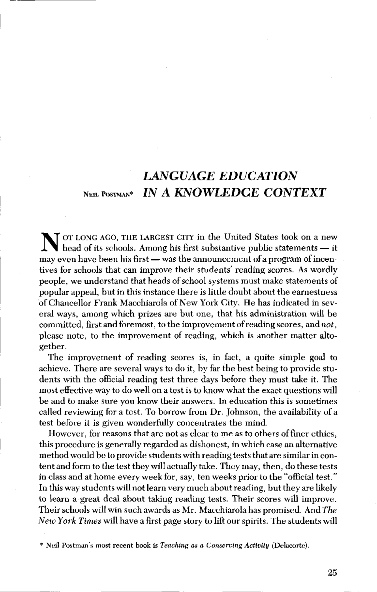### LANGUAGE EDUCATION NEIL POSTMAN\* IN A KNOWLEDGE CONTEXT

N OT LONG AGO, THE LARGEST CITY in the United States took on a new head of its schools. Among his first substantive public statements — it may even have been his first — was the announcement of a program of incen-OT LONG AGO, THE LARGEST CITY in the United States took on a new  $\mathbf{I}$  head of its schools. Among his first substantive public statements  $\mathbf{I}$  it tives for schools that can improve their students' reading scores . As wordly people, we understand that heads of school systems must make statements of popular appeal, but in this instance there is little doubt about the earnestness of Chancellor Frank Macchiarola of New York City . He has indicated in several ways, among which prizes are but one, that his administration will be committed, first and foremost, to the improvement of reading scores, and not, please note, to the improvement of reading, which is another matter altogether .

The improvement of reading scores is, in fact, a quite simple goal to achieve. There are several ways to do it, by far the best being to provide students with the official reading test three days before they must take it . The most effective way to do well on a test is to know what the exact questions will be and to make sure you know their answers. In education this is sometimes called reviewing for a test. To borrow from Dr. Johnson, the availability of a test before it is given wonderfully concentrates the mind.

However, for reasons that are not as clear to me as to others of finer ethics, this procedure is generally regarded as dishonest, in which case an alternative method would he to provide students with reading tests that are similar in content and form to the test they will actually take . They may, then, do these tests in class and at home every week for, say, ten weeks prior to the "official test." In this way students will not learn very much about reading, but they are likely to learn a great deal about taking reading tests . Their scores will improve . Their schools will win such awards as Mr. Macchiarola has promised. And The New York Times will have a first page story to lift our spirits. The students will

\* Neil Postman's most recent book is Teaching as a Conserving Activity (Delacorte) .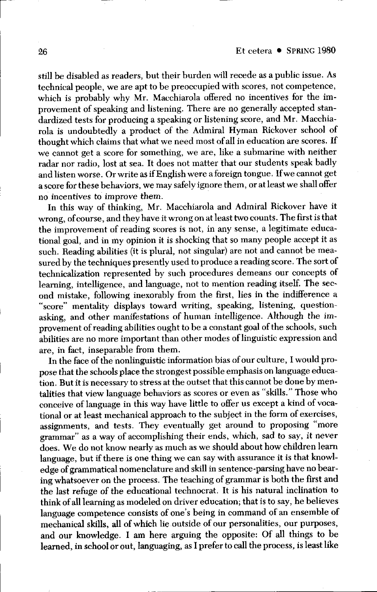still be disabled as readers, but their burden will recede as a public issue . As technical people, we are apt to be preoccupied with scores, not competence, which is probably why Mr. Macchiarola offered no incentives for the improvement of speaking and listening . There are no generally accepted standardized tests for producing a speaking or listening score, and Mr . Macchiarola is undoubtedly a product of the Admiral Hyman Rickover school of thought which claims that what we need most of all in education are scores . If we cannot get a score for something, we are, like a submarine with neither radar nor radio, lost at sea . It does not matter that our students speak badly and listen worse . Or write as if English were a foreign tongue . If we cannot get a score for these behaviors, we may safely ignore them, or at least we shall offer no incentives to improve them .

In this way of thinking, Mr . Macchiarola and Admiral Rickover have it wrong, of course, and they have it wrong on at least two counts. The first is that the improvement of reading scores is not, in any sense, a legitimate educational goal, and in my opinion it is shocking that so many people accept it as such. Reading abilities (it is plural, not singular) are not and cannot be measured by the techniques presently used to produce a reading score . The sort of technicalization represented by such procedures demeans our concepts of learning, intelligence, and language, not to mention reading itself. The second mistake, following inexorably from the first, lies in the indifference a "score" mentality displays toward writing, speaking, listening, questionasking, and other manifestations of human intelligence . Although the improvement of reading abilities ought to be a constant goal of the schools, such abilities are no more important than other modes of linguistic expression and are, in fact, inseparable from them .

In the face of the nonlinguistic information bias of our culture, I would propose that the schools place the strongest possible emphasis on language education. But it is necessary to stress at the outset that this cannot be done by mentalities that view language behaviors as scores or even as "skills ." Those who conceive of language in this way have little to offer us except a kind of vocational or at least mechanical approach to the subject in the form of exercises, assignments, and tests. They eventually get around to proposing "more grammar" as a way of accomplishing their ends, which, sad to say, it never does. We do not know nearly as much as we should about how children learn language, but if there is one thing we can say with assurance it is that knowledge of grammatical nomenclature and skill in sentence-parsing have no bearing whatsoever on the process . The teaching of grammar is both the first and the last refuge of the educational technocrat . It is his natural inclination to think of all learning as modeled on driver education ; that is to say, he believes language competence consists of one's being in command of an ensemble of mechanical skills, all of which lie outside of our personalities, our purposes, and our knowledge. I am here arguing the opposite: Of all things to be learned, in school or out, languaging, as I prefer to call the process, is least like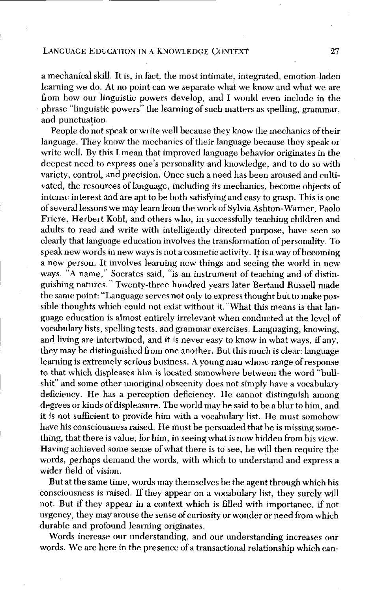a mechanical skill . It is, in fact, the most intimate, integrated, emotion-laden learning we do. At no point can we separate what we know and what we are from how our linguistic powers develop, and I would even include in the phrase "linguistic powers" the learning of such matters as spelling, grammar, and punctuation.

People do not speak or write well because they know the mechanics of their language. They know the mechanics of their language because they speak or write well. By this I mean that improved language behavior originates in the deepest need to express one's personality and knowledge, and to do so with variety, control, and precision . Once such a need has been aroused and cultivated, the resources of language, including its mechanics, become objects of intense interest and are apt to be both satisfying and easy to grasp. This is one of several lessons we may learn from the work of Sylvia Ashton-Warner, Paolo Friere, Herbert Kohl, and others who, in successfully teaching children and adults to read and write with intelligently directed purpose, have seen so clearly that language education involves the transformation of personality . To speak new words in new ways is not a cosmetic activity . It is a way of becoming a new person. It involves learning new things and seeing the world in new ways. "A name," Socrates said, "is an instrument of teaching and of distinguishing natures ." Twenty-three hundred years later Bertand Russell made the same point: "Language serves not only to express thought but to make possible thoughts which could not exist without it . "What this means is that language education is almost entirely irrelevant when conducted at the level of vocabulary lists, spelling tests, and grammar exercises . Languaging, knowing, and living are intertwined, and it is never easy to know in what ways, if any, they may be distinguished from one another. But this much is clear: language learning is extremely serious business . A young man whose range of response to that which displeases him is located somewhere between the word "bullshit" and some other unoriginal obscenity does not simply have a vocabulary deficiency . He has a perception deficiency . He cannot distinguish among degrees or kinds of displeasure . The world may be said to be a blur to him, and it is not sufficient to provide him with a vocabulary list. He must somehow have his consciousness raised . He must be persuaded that he is missing something, that there is value, for him, in seeing what is now hidden from his view . Having achieved some sense of what there is to see, he will then require the words, perhaps demand the words, with which to understand and express a wider field of vision.

But at the same time, words nay themselves be the agent through which his consciousness is raised. If they appear on a vocabulary list, they surely will not . But if they appear in a context which is filled with importance, if not urgency, they may arouse the sense of curiosity or wonder or need from which durable and profound learning originates.

Words increase our understanding, and our understanding increases our words. We are here in the presence of a transactional relationship which can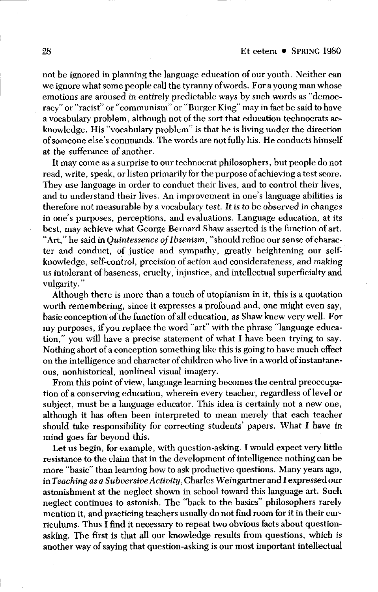not be ignored in planning the language education of our youth . Neither can we ignore what some people call the tyranny of words . For a young man whose emotions are aroused in entirely predictable ways by such words as "democracy" or "racist" or "communism" or "Burger King" may in fact be said to have a vocabulary problem, although not of the sort that education technocrats acknowledge . His "vocabulary problem" is that he is living under the direction of someone else's commands . The words are not fully his . He conducts himself at the sufferance of another.

It may come as a surprise to our technocrat philosophers, but people do not read, write, speak, or listen primarily for the purpose of achieving a test score . They use language in order to conduct their lives, and to control their lives, and to understand their lives . An improvement in one's language abilities is therefore not measurable by a vocabulary test . It is to be observed in changes in one's purposes,, perceptions, and evaluations . Language education, at its best, may achieve what George Bernard Shaw asserted is the function of art . "Art," he said in *Quintessence of Ibsenism*, "should refine our sense of character and conduct, of justice and sympathy, greatly heightening our selfknowledge, self-control, precision of action and considerateness, and making us intolerant of baseness, cruelty, injustice, and intellectual superficialty and vulgarity ."

Although there is more than a touch of utopianism in it, this is a quotation worth remembering, since it expresses a profound and, one might even say, basic conception of the function of all education, as Shaw knew very well, For my purposes, if you replace the word "art" with the phrase "language education," you will have a precise statement of what I have been trying to say . Nothing short of a conception something like this is going to have much effect on the intelligence and character of children who live in a world of instantaneous, nonhistorical, nonlineal visual imagery .

From this point of view, language learning becomes the central preoccupation of a conserving education, wherein every teacher, regardless of level or subject, must be a language educator. This idea is certainly not a new one, although it has often been interpreted to mean merely that each teacher should take responsibility for correcting students' papers . What I have in mind goes far beyond this.

Let us begin, for example, with question-asking. I would expect very little resistance to the claim that in the development of intelligence nothing can be more "basic" than learning how to ask productive questions . Many years ago, in Teaching as a Subversive Activity, Charles Weingartner and I expressed our astonishment at the neglect shown in school toward this language art. Such neglect continues to astonish. The "back to the basics" philosophers rarely mention it, and practicing teachers usually do not find room for it in their curriculums . Thus I find it necessary to repeat two obvious facts about questionasking. The first is that all our knowledge results from questions, which is another way of saying that question-asking is our most important intellectual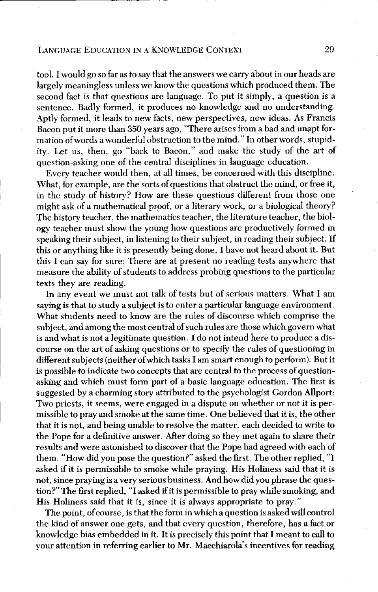# LANGUAGE EDUCATION IN A KNOWLEDGE CONTEXT **Example 1**<br>LANGUAGE E

tool . I would go so far as to say that the answers we carry about in our heads are largely meaningless unless we know the questions which produced them . The second fact is that questions are language. To put it simply, a question is a sentence . Badly formed, it produces no knowledge and no understanding . Aptly formed, it leads to new facts, new perspectives, new ideas . As Francis Bacon put it more than 350 years ago, "There arises from a bad and unapt formation of words a wonderful obstruction to the mind . " In other words, stupidity . Let us, then, go "back to Bacon," and make the study of the art of question-asking one of the central disciplines in language education.

Every teacher would then, at all times, be concerned with this discipline . What, for example, are the sorts of questions that obstruct the mind, or free it, in the study of history? How are these questions different from those one might ask of a mathematical proof, or a literary work, or a biological theory? The history teacher, the mathematics teacher, the literature teacher, the biology teacher must show the young how questions arc productively formed in speaking their subject, in listening to their subject, in reading their subject. If this or anything like it is presently being done, I have not heard about it . But this I can say for sure: There are at present no reading tests anywhere that measure the ability of students to address probing questions to the particular texts they are reading .

In any event we must not talk of tests but of serious matters . What I am saying is that to study a subject is to enter a particular language environment . What students need to know are the rules of discourse which comprise the subject, and among the most central of such rules are those which govern what is and what is not a legitimate question . I do not intend here to produce a discourse on the art of asking questions or to specify the rules of questioning in different subjects (neither of which tasks I am smart enough to perform) . But it is possible to indicate two concepts that are central to the process of questionasking and which must form part of a basic language education. The first is suggested by a charming story attributed to the psychologist Gordon Allport: Two priests, it seems, were engaged in a dispute on whether or not it is permissible to pray and smoke at the same time . One believed that it is, the other that it is not, and being unable to resolve the matter, each decided to write to the Pope for a definitive answer . After doing so they met again to share their results and were astonished to discover that the Pope had agreed with each of them . "How did you pose the question?" asked the first. The other replied, "I asked if it is permissible to smoke while praying . His Holiness said that it is not, since praying is a very serious business . And how did you phrase the question?" The first replied, "I asked if it is permissible to pray while smoking, and His Holiness said that it is, since it is always appropriate to pray."

The point, of course, is that the form in which a question is asked will control the kind of answer one gets, and that every question, therefore, has a fact or knowledge bias embedded in it . It is precisely this point that I meant to call to your attention in referring earlier to Mr . Macchiarola's incentives for reading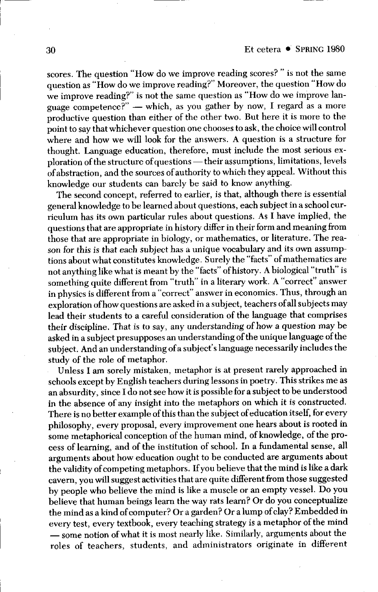scores. The question "How do we improve reading scores?" is not the same question as "How do we improve reading?" Moreover, the question "How do we improve reading?" is not the same question as "How do we improve language competence?"  $-$  which, as you gather by now, I regard as a more productive question than either of the other two . But here it is more to the point to say that whichever question one chooses to ask, the choice will control where and how we will look for the answers. A question is a structure for thought. Language education, therefore, must include the most serious exploration of the structure of questions - their assumptions, limitations, levels of abstraction, and the sources of authority to which they appeal . Without this knowledge our students can barely be said to know anything.

The second concept, referred to earlier, is that, although there is essential general knowledge to be learned about questions, each subject in a school curriculum has its own particular rules about questions . As I have implied, the questions that are appropriate in history differ in their form and meaning from those that are appropriate in biology, or mathematics, or literature . The reason for this is that each subject has a unique vocabulary and its own assumptions about what constitutes knowledge . Surely the "facts" of mathematics are not anything like what is meant by the "facts" of history . A biological "truth" is something quite different from "truth" in a literary work . A "correct" answer in physics is different from a "correct" answer in economics . Thus, through an exploration of how questions are asked in a subject, teachers of all subjects may lead their students to a careful consideration of the language that comprises their discipline. That is to say, any understanding of how a question may be asked in a subject presupposes an understanding of the unique language of the subject. And an understanding of a subject's language necessarily includes the study of the role of metaphor .

Unless I am sorely mistaken, metaphor is at present rarely approached in schools except by English teachers during lessons in poetry . This strikes me as an absurdity, since I do not see how it is possible for a subject to be understood in the absence of any insight into the metaphors on which it is constructed. There is no better example of this than the subject of education itself, for every philosophy, every proposal, every improvement one hears about is rooted in some metaphorical conception of the human mind, of knowledge, of the process of learning, and of the institution of school . In a fundamental sense, all arguments about how education ought to be conducted are arguments about the validity of competing metaphors. If you believe that the mind is like a dark cavern, you will suggest activities that are quite different from those suggested by people who believe the mind is like a muscle or an empty vessel . Do you believe that human beings learn the way rats learn? Or do you conceptualize the mind as a kind of computer? Or a garden? Or a lump of clay? Embedded in every test, every textbook, every teaching strategy is a metaphor of the mind - some notion of what it is most nearly like. Similarly, arguments about the roles of teachers, students, and administrators originate in different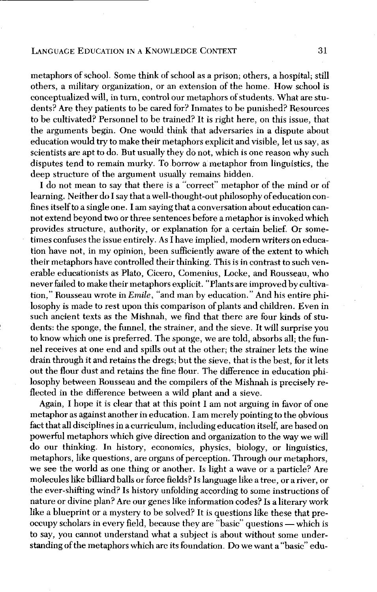## LANGUAGE EDUCATION IN A KNOWLEDGE CONTEXT E ANCHACE E

metaphors of school. Some think of school as a prison: others, a hospital; still others, a military organization, or an extension of the home . How school is conceptualized will, in turn, control our metaphors of students . What are students? Are they patients to be cared for? Inmates to be punished? Resources to be cultivated? Personnel to be trained? It is right here, on this issue, that the arguments begin. One would think that adversaries in a dispute about education would try to make their metaphors explicit and visible, let us say, as scientists are apt to do. But usually they do not, which is one reason why such disputes tend to remain murky . To borrow a metaphor from linguistics, the deep structure of the argument usually remains hidden.

I do not mean to say that there is a "correct" metaphor of the mind or of learning. Neither do I say that a well-thought-out philosophy of education confines itself to a single one . I am saying that a conversation about education cannot extend beyond two or three sentences before a metaphor is invoked which provides structure, authority, or explanation for a certain belief. Or sometimes confuses the issue entirely . As I have implied, modern writers on education have not, in my opinion, been sufficiently aware of the extent to which their metaphors have controlled their thinking. This is in contrast to such venerable educationists as Plato, Cicero, Comenius, Locke, and Rousseau, who never failed to make their metaphors explicit . "Plants are improved by cultivation," Rousseau wrote in  $Emile$ , "and man by education." And his entire philosophy is made to rest upon this comparison of plants and children. Even in such ancient texts as the Mishnah, we find that there are four kinds of students : the sponge, the funnel, the strainer, and the sieve . It will surprise you to know which one is preferred. The sponge, we are told, absorbs all; the funnel receives at one end and spills out at the other ; the strainer lets the wine drain through it and retains the dregs ; but the sieve, that is the best, for it lets out the flour dust and retains the fine flour . The difference in education philosophy between Rousseau and the compilers of the Mishnah is precisely reflected in the difference between a wild plant and a sieve.

Again, I hope it is clear that at this point I am not arguing in favor of one metaphor as against another in education . I am merely pointing to the obvious fact that all disciplines in a curriculum, including education itself, are based on powerful metaphors which give direction and organization to the way we will do our thinking. In history, economics, physics, biology, or linguistics, metaphors, like questions, are organs of perception . Through our metaphors, we see the world as one thing or another. Is light a wave or a particle? Are molecules like billiard balls or force fields? Is language like a tree, or a river, or the ever-shifting wind? Is history unfolding according to some instructions of nature or divine plan? Are our genes like information codes? Is a literary work like a blueprint or a mystery to be solved? It is questions like these that preoccupy scholars in every field, because they are "basic" questions — which is to say, you cannot understand what a subject is about without some understanding of the metaphors which are its foundation . Do we want a "basic" edu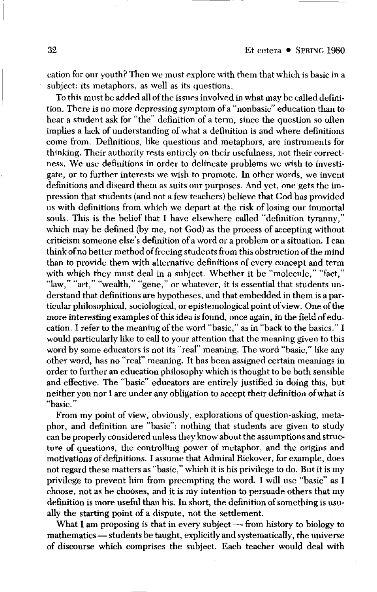cation for our youth? Then we must explore with them that which is basic in a subject: its metaphors, as well as its questions.

To this must be added all of the issues involved in what may be called definition . There is no more depressing symptom of a "nonbasic" education than to hear a student ask for "the" definition of a term, since the question so often implies a lack of understanding of what a definition is and where definitions come from. Definitions, like questions and metaphors, are instruments for thinking . Their authority rests entirely on their usefulness, not their correctness. We use definitions in order to delineate problems we wish to investigate, or to further interests we wish to promote . In other words, we invent definitions and discard them as suits our purposes . And yet, one gets the impression that students (and not a few teachers) believe that God has provided us with definitions from which we depart at the risk of losing our immortal souls. This is the belief that I have elsewhere called "definition tyranny," which may be defined (by me, not God) as the process of accepting without criticism someone else's definition of a word or a problem or a situation . I can think of no better method of freeing students from this obstruction of the mind than to provide them with alternative definitions of every concept and term with which they must deal in a subject. Whether it be "molecule," "fact," "law," "art," "wealth," "gene," or whatever, it is essential that students understand that definitions are hypotheses, and that embedded in them is a particular philosophical, sociological, or epistemological point of view . One of the more interesting examples of this idea is found, once again, in the field of education . I refer to the meaning of the word "basic," as in "back to the basics ." I would particularly like to call to your attention that the meaning given to this word by some educators is not its "real" meaning . The word "basic," like any other word, has no "real" meaning . It has been assigned certain meanings in order to further an education philosophy which is thought to be both sensible and effective . The "basic" educators are entirely justified in doing this, but neither you nor I are under any obligation to accept their definition of what is "basic.'

From my point of view, obviously, explorations of question-asking, metaphor, and definition are "basic": nothing that students are given to study can be properly considered unless they know about the assumptions and structure of questions, the controlling power of metaphor, and the origins and motivations of definitions . I assume that Admiral Rickover, for example, does not regard these matters as "basic," which it is his privilege to do . But it is my privilege to prevent him from preempting the word . I will use "basic" as I choose, not as he chooses, and it is my intention to persuade others that my definition is more useful than his . In short, the definition of something is usually the starting point of a dispute, not the settlement.

What I am proposing is that in every subject  $-$  from history to biology to mathematics - students be taught, explicitly and systematically, the universe of discourse which comprises the subject . Each teacher would deal with

 $\mathbb{R}^n$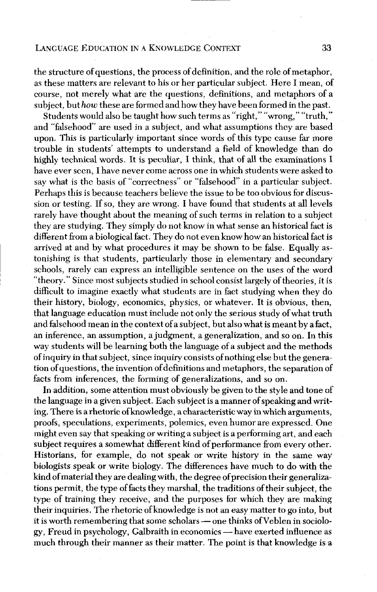### LANGUAGE EDUCATION IN A KNOWLEDGE CONTEXT **LANGUAGE** F

the structure of questions, the process of definition, and the role of metaphor, as these matters are relevant to his or her particular subject . Here I mean, of course, not merely what arc the questions, definitions, and metaphors of a subject, but *how* these are formed and how they have been formed in the past.

Students would also be taught how such terms as "right," "wrong," "truth," and "falsehood" are used in a subject, and what assumptions they are based upon. This is particularly important since words of this type cause far more trouble in students' attempts to understand a field of knowledge than do highly technical words. It is peculiar, I think, that of all the examinations I have ever seen, I have never come across one in which students were asked to say what is the basis of "correctness" or "falsehood" in a particular subject. Perhaps this is because teachers believe the issue to be too obvious for discussion or testing . If so, they are wrong . I have found that students at all levels rarely have thought about the meaning of such terms in relation to a subject they are studying. They simply do not know in what sense an historical fact is different from a biological fact. They do not even know how an historical fact is arrived at and by what procedures it may be shown to be false. Equally astonishing is that students, particularly those in elementary and secondary schools, rarely can express an intelligible sentence on the uses of the word "theory ." Since most subjects studied in school consist largely of theories, it is difficult to imagine exactly what students are in fact studying when they do their history, biology, economics, physics, or whatever . It is obvious, then, that language education must include not only the serious study of what truth and falsehood mean in the context of a subject, but also what is meant by a fact, an inference, an assumption, a judgment, a generalization, and so on . In this way students will be learning both the language of a subject and the methods of inquiry in that subject, since inquiry consists of nothing else but the generation of questions, the invention of definitions and metaphors, the separation of facts from inferences, the forming of generalizations, and so on .

In addition, some attention must obviously be given to the style and tone of the language in a given subject . Each subject is a manner of speaking and writing. There is a rhetoric of knowledge, a characteristic way in which arguments, proofs, speculations, experiments, polemics, even humor are expressed . One might even say that speaking or writing a subject is a performing art, and each subject requires a somewhat different kind of performance from every other. Historians, for example, do not speak or write history in the same way biologists speak or write biology . The differences have much to do with the kind of material they are dealing with, the degree of precision their generalizations permit, the type of facts they marshal, the traditions of their subject, the type of training they receive, and the purposes for which they are making their inquiries . The rhetoric of knowledge is not an easy matter to go into, but it is worth remembering that some scholars - one thinks of Veblen in sociolo- $\gamma$  gy, Freud in psychology, Galbraith in economics  $\rightarrow$  have exerted influence as much through their manner as their matter . The point is that knowledge is a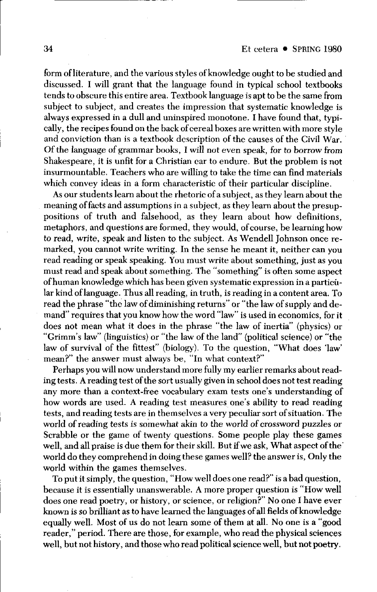form of literature, and the various styles of knowledge ought to be studied and discussed . I will grant that the language found in typical school textbooks tends to obscure this entire area . Textbook language is apt to be the same from subject to subject, and creates the impression that systematic knowledge is always expressed in a dull and uninspired monotone . I have found that, typically, the recipes found on the back of cereal boxes are written with more style and conviction than is a textbook description of the causes of the Civil War . Of the language of grammar books, I will not even speak, for to borrow from Shakespeare, it is unfit for a Christian car to endure . But the problem is not insurmountable . Teachers who are willing to take the time can find materials which convey ideas in a form characteristic of their particular discipline.

As our students learn about the rhetoric of a subject, as they learn about the meaning of facts and assumptions in a subject, as they learn about the presuppositions of truth and falsehood, as they learn about how definitions, metaphors, and questions are formed, they would, of course, be learning how to read, write, speak and listen to the subject . As Wendell Johnson once remarked, you cannot write writing . In the sense he meant it, neither can you read reading or speak speaking. You must write about something, just as you must read and speak about something . The "something" is often some aspect of human knowledge which has been given systematic expression in a particular kind of language . Thus all reading, in truth, is reading in a content area. To read the phrase "the law of diminishing returns" or "the law of supply and demand" requires that you know how the word "law" is used in economics, for it does not mean what it does in the phrase "the law of inertia" (physics) or "Grimm's law" (linguistics) or "the law of the land" (political science) or "the law of survival of the fittest" (biology). To the question, "What does 'law' mean?" the answer must always be, "In what context?"

Perhaps you will now understand more fully my earlier remarks about reading tests . A reading test of the sort usually given in school does not test reading any more than a context-free vocabulary exam tests one's understanding of how words are used. A reading test measures one's ability to read reading tests, and reading tests are in themselves a very peculiar sort of situation . The world of reading tests is somewhat akin to the world of crossword puzzles or Scrabble or the game of twenty questions . Some people play these games well, and all praise is due them for their skill. But if we ask, What aspect of the world do they comprehend in doing these games well? the answer is, Only the world within the games themselves.

To put it simply, the question, "How well does one read?" is a bad question, because it is essentially unanswerable . A more proper question is "How well does one read poetry, or history, or science, or religion?" No one I have ever known is so brilliant as to have learned the languages of all fields of knowledge equally well. Most of us do not learn some of them at all. No one is a "good reader," period. There are those, for example, who read the physical sciences well, but not history, and those who read political science well, but not poetry .

 $\left[\begin{array}{ccc} 0 & 0 & 0 \\ 0 & 0 & 0 \\ 0 & 0 & 0 \end{array}\right]$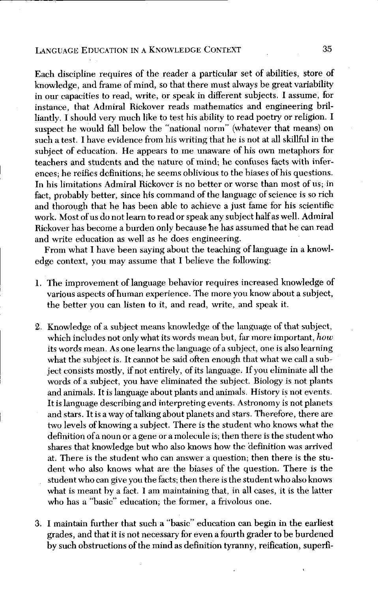## LANGUAGE EDUCATION IN A KNOWLEDGE CONTEXT **EXAMPLE 2018**<br> **LANGUAGE E**

Each discipline requires of the reader a particular set of abilities, store of knowledge, and frame of mind, so that there must always be great variability in our capacities to read, write, or speak in different subjects . I assume, for instance, that Admiral Rickover reads mathematics and engineering brilliantly . I should very much like to test his ability to read poetry or religion . I suspect he would fall below the "national norm" (whatever that means) on such a test . I have evidence from his writing that he is not at all skillful in the subject of education. He appears to me unaware of his own metaphors for teachers and students and the nature of mind; he confuses facts with inferences; he reifies definitions; he seems oblivious to the biases of his questions. In his limitations Admiral Rickover is no better or worse than most of us: in fact, probably better, since his command of the language of science is so rich and thorough that he has been able to achieve a just fame for his scientific work. Most of us do not learn to read or speak any subject half as well . Admiral Rickover has become a burden only because he has assumed that he can read and write education as well as he does engineering.

From what I have been saying about the teaching of language in a knowledge context, you may assume that I believe the following:

- 1 . The improvement of language behavior requires increased knowledge of various aspects of human experience . The more you know about a subject, the better you can listen to it, and read, write, and speak it.
- 2. Knowledge of a subject means knowledge of the language of that subject, which includes not only what its words mean but, far more important, how its words mean . As one learns the language of a subject, one is also learning what the subject is. It cannot be said often enough that what we call a subject consists mostly, if not entirely, of its language . If you eliminate all the words of a subject, you have eliminated the subject. Biology is not plants and animals. It is language about plants and animals. History is not events. It is language describing and interpreting events . Astronomy is not planets and stars . It is a way of talking about planets and stars . Therefore, there are two levels of knowing a subject . There is the student who knows what the definition of a noun or a gene or a molecule is ; then there is the student who shares that knowledge but who also knows how the definition was arrived at. There is the student who can answer a question; then there is the student who also knows what are the biases of the question . There is the student who can give you the facts ; then there is the student who also knows what is meant by a fact. I am maintaining that, in all cases, it is the latter who has a "basic" education; the former, a frivolous one.
- 3. I maintain further that such a "basic" education can begin in the earliest grades, and that it is not necessary for even a fourth grader to be burdened by such obstructions of the mind as definition tyranny, reification, superfi-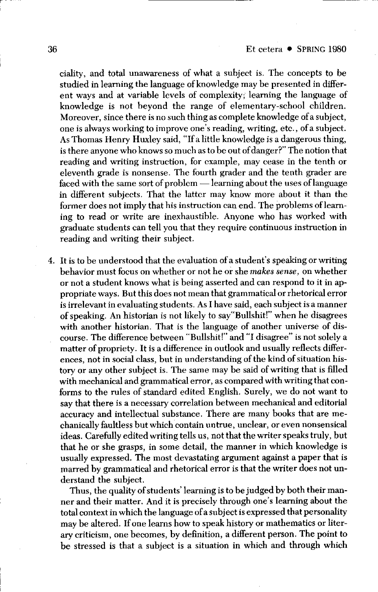ciality, and total unawareness of what a subject is . The concepts to be studied in learning the language of knowledge may be presented in different ways and at variable levels of complexity; learning the language of knowledge is not beyond the range of elementary-school children. Moreover, since there is no such thing as complete knowledge of a subject, one is always working to improve one's reading, writing, etc ., of a subject . As Thomas Henry Huxley said, "If a little knowledge is a dangerous thing, is there anyone who knows so much as to be out of danger?" The notion that reading and writing instruction, for example, may cease in the tenth or eleventh grade is nonsense . The fourth grader and the tenth grader are faced with the same sort of problem  $-$  learning about the uses of language in different subjects . That the latter may know more about it than the former does not imply that his instruction can end. The problems of learning to read or write are inexhaustible . Anyone who has worked with graduate students can tell you that they require continuous instruction in reading and writing their subject.

4 . It is to be understood that the evaluation of a student's speaking or writing behavior must focus on whether or not he or she makes sense, on whether or not a student knows what is being asserted and can respond to it in appropriate ways . But this does not mean that grammatical or rhetorical error is irrelevant in evaluating students . As I have said, each subject is a manner of speaking . An historian is not likely to say"Bullshit!" when he disagrees with another historian. That is the language of another universe of discourse . The difference between "Bullshit!" and "I disagree" is not solely a matter of propriety . It is a difference in outlook and usually reflects differences, not in social class, but in understanding of the kind of situation history or any other subject is . The same may be said of writing that is filled with mechanical and grammatical error, as compared with writing that conforms to the rules of standard edited English. Surely, we do not want to say that there is a necessary correlation between mechanical and editorial accuracy and intellectual substance . There are many books that are mechanically faultless but which'contain untrue, unclear, or even nonsensical ideas . Carefully edited writing tells us, not that the writer speaks truly, but that he or she grasps, in some detail, the manner in which knowledge is usually expressed. The most devastating argument against a paper that is marred by grammatical and rhetorical error is that the writer does not understand the subject.

Thus, the quality of students' learning is to be judged by both their manner and their matter . And it is precisely through one's learning about the total context in which the language of a subject is expressed that personality may be altered . If one learns how to speak history or mathematics or literary criticism, one becomes, by definition, a different person . The point to be stressed is that a subject is a situation in which and through which